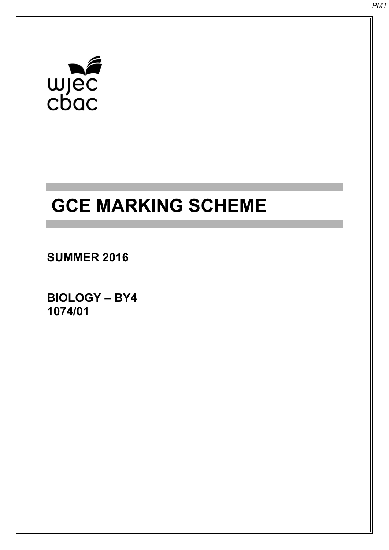# $\begin{array}{c}\n\mathbf{w} \\
\mathbf{w} \\
\mathbf{c} \\
\mathbf{b} \\
\mathbf{a}\n\end{array}$

## **GCE MARKING SCHEME**

**SUMMER 2016** 

**BIOLOGY – BY4 1074/01**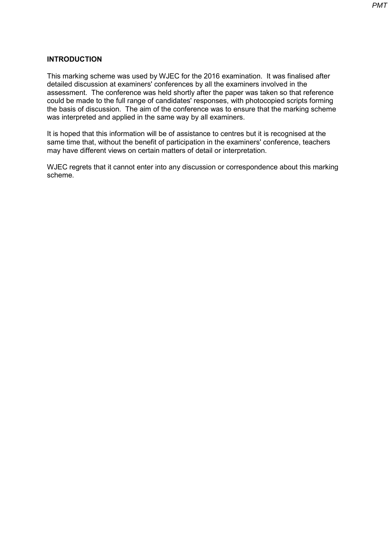### **INTRODUCTION**

This marking scheme was used by WJEC for the 2016 examination. It was finalised after detailed discussion at examiners' conferences by all the examiners involved in the assessment. The conference was held shortly after the paper was taken so that reference could be made to the full range of candidates' responses, with photocopied scripts forming the basis of discussion. The aim of the conference was to ensure that the marking scheme was interpreted and applied in the same way by all examiners.

It is hoped that this information will be of assistance to centres but it is recognised at the same time that, without the benefit of participation in the examiners' conference, teachers may have different views on certain matters of detail or interpretation.

WJEC regrets that it cannot enter into any discussion or correspondence about this marking scheme.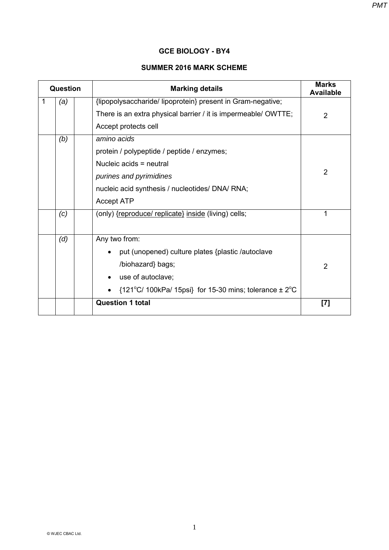#### *PMT*

#### **GCE BIOLOGY - BY4**

#### **SUMMER 2016 MARK SCHEME**

|   | <b>Question</b> | <b>Marking details</b>                                                                                                                                                                     | <b>Marks</b><br><b>Available</b> |
|---|-----------------|--------------------------------------------------------------------------------------------------------------------------------------------------------------------------------------------|----------------------------------|
| 1 | (a)             | {lipopolysaccharide/ lipoprotein} present in Gram-negative;<br>There is an extra physical barrier / it is impermeable/ OWTTE;                                                              | 2                                |
|   |                 | Accept protects cell                                                                                                                                                                       |                                  |
|   | (b)             | amino acids<br>protein / polypeptide / peptide / enzymes;<br>Nucleic acids = neutral<br>purines and pyrimidines<br>nucleic acid synthesis / nucleotides/ DNA/ RNA;<br><b>Accept ATP</b>    | $\overline{2}$                   |
|   | (c)             | (only) {reproduce/ replicate} inside (living) cells;                                                                                                                                       | 1                                |
|   | (d)             | Any two from:<br>put (unopened) culture plates {plastic /autoclave<br>/biohazard} bags;<br>use of autoclave;<br>${121^{\circ}C/ 100kPa/ 15psi}$ for 15-30 mins; tolerance $\pm 2^{\circ}C$ | $\overline{2}$                   |
|   |                 | <b>Question 1 total</b>                                                                                                                                                                    | [7]                              |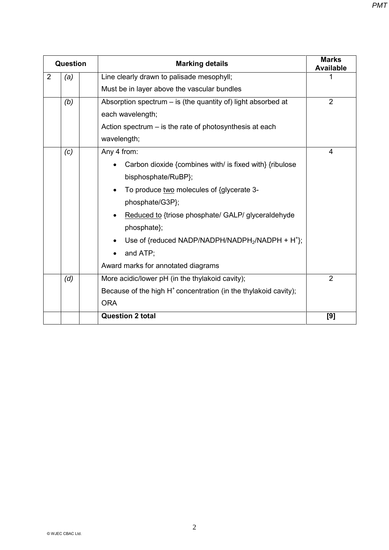| Question |     | <b>Marking details</b>                                                   | <b>Marks</b><br><b>Available</b><br>$\overline{2}$ |
|----------|-----|--------------------------------------------------------------------------|----------------------------------------------------|
| 2        | (a) | Line clearly drawn to palisade mesophyll;                                |                                                    |
|          |     | Must be in layer above the vascular bundles                              |                                                    |
|          | (b) | Absorption spectrum $-$ is (the quantity of) light absorbed at           |                                                    |
|          |     | each wavelength;                                                         |                                                    |
|          |     | Action spectrum $-$ is the rate of photosynthesis at each                |                                                    |
|          |     | wavelength;                                                              |                                                    |
|          | (c) | Any 4 from:                                                              | 4                                                  |
|          |     | Carbon dioxide {combines with/ is fixed with} {ribulose                  |                                                    |
|          |     | bisphosphate/RuBP};                                                      |                                                    |
|          |     | To produce two molecules of {glycerate 3-<br>$\bullet$                   |                                                    |
|          |     | phosphate/G3P};                                                          |                                                    |
|          |     | Reduced to {triose phosphate/ GALP/ glyceraldehyde<br>٠                  |                                                    |
|          |     | phosphate};                                                              |                                                    |
|          |     | Use of {reduced NADP/NADPH/NADPH <sub>2</sub> /NADPH + H <sup>+</sup> }; |                                                    |
|          |     | and ATP;<br>$\bullet$                                                    |                                                    |
|          |     | Award marks for annotated diagrams                                       |                                                    |
|          | (d) | More acidic/lower pH (in the thylakoid cavity);                          | $\overline{2}$                                     |
|          |     | Because of the high $H^+$ concentration (in the thylakoid cavity);       |                                                    |
|          |     | <b>ORA</b>                                                               |                                                    |
|          |     | <b>Question 2 total</b>                                                  | [9]                                                |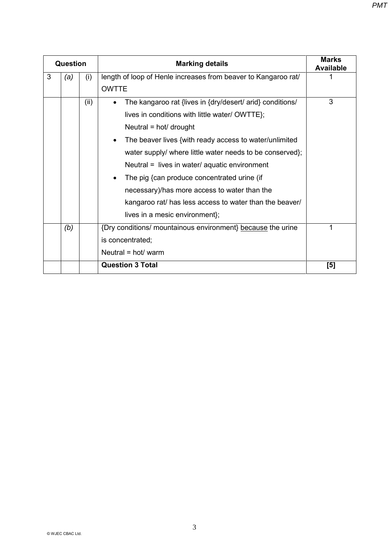| <b>Question</b> |     |      | <b>Marking details</b>                                                 | <b>Marks</b><br><b>Available</b> |
|-----------------|-----|------|------------------------------------------------------------------------|----------------------------------|
| 3               | (a) | (i)  | length of loop of Henle increases from beaver to Kangaroo rat/         |                                  |
|                 |     |      | <b>OWTTE</b>                                                           |                                  |
|                 |     | (ii) | The kangaroo rat {lives in {dry/desert/ arid} conditions/<br>$\bullet$ | 3                                |
|                 |     |      | lives in conditions with little water/ OWTTE};                         |                                  |
|                 |     |      | Neutral = $hot/drought$                                                |                                  |
|                 |     |      | The beaver lives {with ready access to water/unlimited<br>$\bullet$    |                                  |
|                 |     |      | water supply/ where little water needs to be conserved};               |                                  |
|                 |     |      | Neutral $=$ lives in water/ aquatic environment                        |                                  |
|                 |     |      | The pig {can produce concentrated urine (if<br>$\bullet$               |                                  |
|                 |     |      | necessary)/has more access to water than the                           |                                  |
|                 |     |      | kangaroo rat/ has less access to water than the beaver/                |                                  |
|                 |     |      | lives in a mesic environment};                                         |                                  |
|                 | (b) |      | {Dry conditions/ mountainous environment} because the urine            | 1                                |
|                 |     |      | is concentrated;                                                       |                                  |
|                 |     |      | Neutral = $hot/warm$                                                   |                                  |
|                 |     |      | <b>Question 3 Total</b>                                                | [5]                              |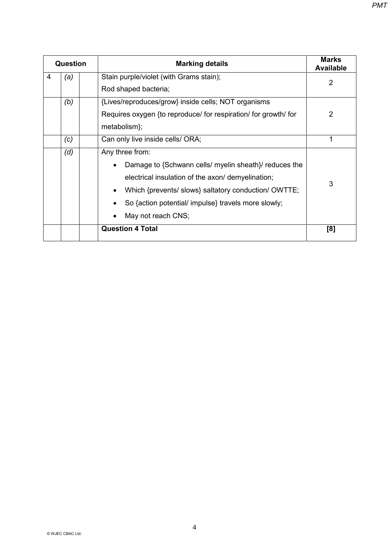| Question | <b>Marking details</b>                                                                                                                                                                                                                                                          | <b>Marks</b><br><b>Available</b> |
|----------|---------------------------------------------------------------------------------------------------------------------------------------------------------------------------------------------------------------------------------------------------------------------------------|----------------------------------|
| 4<br>(a) | Stain purple/violet (with Grams stain);<br>Rod shaped bacteria;                                                                                                                                                                                                                 | $\overline{2}$                   |
| (b)      | {Lives/reproduces/grow} inside cells; NOT organisms<br>Requires oxygen {to reproduce/ for respiration/ for growth/ for<br>metabolism};                                                                                                                                          | $\overline{2}$                   |
| (c)      | Can only live inside cells/ ORA;                                                                                                                                                                                                                                                | 1                                |
| (d)      | Any three from:<br>Damage to {Schwann cells/ myelin sheath}/ reduces the<br>electrical insulation of the axon/ demyelination;<br>Which {prevents/ slows} saltatory conduction/ OWTTE;<br>$\bullet$<br>So {action potential/ impulse} travels more slowly;<br>May not reach CNS; | 3                                |
|          | <b>Question 4 Total</b>                                                                                                                                                                                                                                                         | [8]                              |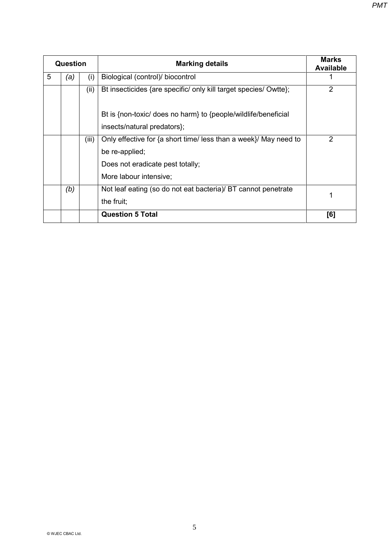| Question |     |       | <b>Marking details</b>                                           | <b>Marks</b><br><b>Available</b> |
|----------|-----|-------|------------------------------------------------------------------|----------------------------------|
| 5        | (a) | (i)   | Biological (control)/ biocontrol                                 |                                  |
|          |     | (ii)  | Bt insecticides {are specific/ only kill target species/ Owtte}; | $\overline{2}$                   |
|          |     |       | Bt is {non-toxic/ does no harm} to {people/wildlife/beneficial   |                                  |
|          |     |       | insects/natural predators};                                      |                                  |
|          |     | (iii) | Only effective for {a short time/ less than a week}/ May need to | $\overline{2}$                   |
|          |     |       | be re-applied;                                                   |                                  |
|          |     |       | Does not eradicate pest totally;                                 |                                  |
|          |     |       | More labour intensive;                                           |                                  |
|          | (b) |       | Not leaf eating (so do not eat bacteria)/ BT cannot penetrate    |                                  |
|          |     |       | the fruit;                                                       |                                  |
|          |     |       | <b>Question 5 Total</b>                                          | [6]                              |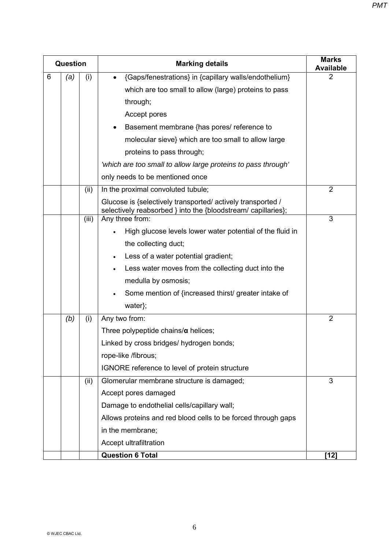|   | <b>Question</b> |       | <b>Marking details</b>                                                                                                       | <b>Marks</b><br><b>Available</b> |
|---|-----------------|-------|------------------------------------------------------------------------------------------------------------------------------|----------------------------------|
| 6 | (a)             | (i)   | {Gaps/fenestrations} in {capillary walls/endothelium}                                                                        | $\overline{2}$                   |
|   |                 |       | which are too small to allow (large) proteins to pass                                                                        |                                  |
|   |                 |       | through;                                                                                                                     |                                  |
|   |                 |       | Accept pores                                                                                                                 |                                  |
|   |                 |       | Basement membrane {has pores/ reference to                                                                                   |                                  |
|   |                 |       | molecular sieve} which are too small to allow large                                                                          |                                  |
|   |                 |       | proteins to pass through;                                                                                                    |                                  |
|   |                 |       | 'which are too small to allow large proteins to pass through'                                                                |                                  |
|   |                 |       | only needs to be mentioned once                                                                                              |                                  |
|   |                 | (ii)  | In the proximal convoluted tubule;                                                                                           | $\overline{2}$                   |
|   |                 |       | Glucose is {selectively transported/ actively transported /<br>selectively reabsorbed } into the {bloodstream/ capillaries}; |                                  |
|   |                 | (iii) | Any three from:                                                                                                              | 3                                |
|   |                 |       | High glucose levels lower water potential of the fluid in                                                                    |                                  |
|   |                 |       | the collecting duct;                                                                                                         |                                  |
|   |                 |       | Less of a water potential gradient;                                                                                          |                                  |
|   |                 |       | Less water moves from the collecting duct into the                                                                           |                                  |
|   |                 |       | medulla by osmosis;                                                                                                          |                                  |
|   |                 |       | Some mention of {increased thirst/ greater intake of                                                                         |                                  |
|   |                 |       | water};                                                                                                                      |                                  |
|   | (b)             | (i)   | Any two from:                                                                                                                | $\overline{2}$                   |
|   |                 |       | Three polypeptide chains/ $\alpha$ helices;                                                                                  |                                  |
|   |                 |       | Linked by cross bridges/ hydrogen bonds;                                                                                     |                                  |
|   |                 |       | rope-like /fibrous;                                                                                                          |                                  |
|   |                 |       | IGNORE reference to level of protein structure                                                                               |                                  |
|   |                 | (ii)  | Glomerular membrane structure is damaged;                                                                                    | 3                                |
|   |                 |       | Accept pores damaged                                                                                                         |                                  |
|   |                 |       | Damage to endothelial cells/capillary wall;                                                                                  |                                  |
|   |                 |       | Allows proteins and red blood cells to be forced through gaps                                                                |                                  |
|   |                 |       | in the membrane;                                                                                                             |                                  |
|   |                 |       | Accept ultrafiltration                                                                                                       |                                  |
|   |                 |       | <b>Question 6 Total</b>                                                                                                      | [12]                             |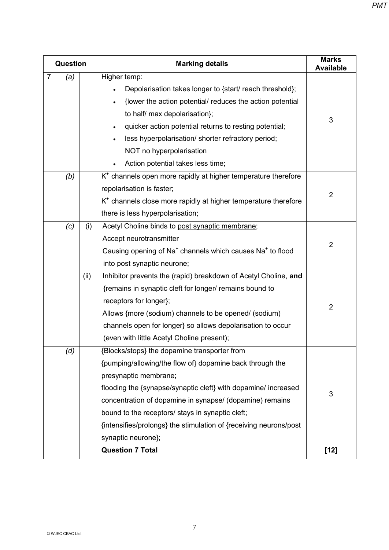| Question       |     |      | <b>Marking details</b>                                                            | <b>Marks</b><br><b>Available</b> |
|----------------|-----|------|-----------------------------------------------------------------------------------|----------------------------------|
| $\overline{7}$ | (a) |      | Higher temp:                                                                      |                                  |
|                |     |      | Depolarisation takes longer to {start/ reach threshold};                          |                                  |
|                |     |      | {lower the action potential/ reduces the action potential                         |                                  |
|                |     |      | to half/ max depolarisation};                                                     | 3                                |
|                |     |      | quicker action potential returns to resting potential;                            |                                  |
|                |     |      | less hyperpolarisation/ shorter refractory period;                                |                                  |
|                |     |      | NOT no hyperpolarisation                                                          |                                  |
|                |     |      | Action potential takes less time;                                                 |                                  |
|                | (b) |      | $K+$ channels open more rapidly at higher temperature therefore                   |                                  |
|                |     |      | repolarisation is faster;                                                         | $\overline{2}$                   |
|                |     |      | $K+$ channels close more rapidly at higher temperature therefore                  |                                  |
|                |     |      | there is less hyperpolarisation;                                                  |                                  |
|                | (c) | (i)  | Acetyl Choline binds to post synaptic membrane;                                   |                                  |
|                |     |      | Accept neurotransmitter                                                           | $\overline{2}$                   |
|                |     |      | Causing opening of Na <sup>+</sup> channels which causes Na <sup>+</sup> to flood |                                  |
|                |     |      | into post synaptic neurone;                                                       |                                  |
|                |     | (ii) | Inhibitor prevents the (rapid) breakdown of Acetyl Choline, and                   |                                  |
|                |     |      | {remains in synaptic cleft for longer/ remains bound to                           |                                  |
|                |     |      | receptors for longer};                                                            | $\overline{2}$                   |
|                |     |      | Allows {more (sodium) channels to be opened/ (sodium)                             |                                  |
|                |     |      | channels open for longer} so allows depolarisation to occur                       |                                  |
|                |     |      | (even with little Acetyl Choline present);                                        |                                  |
|                | (d) |      | {Blocks/stops} the dopamine transporter from                                      |                                  |
|                |     |      | {pumping/allowing/the flow of} dopamine back through the                          |                                  |
|                |     |      | presynaptic membrane;                                                             |                                  |
|                |     |      | flooding the {synapse/synaptic cleft} with dopamine/ increased                    | 3                                |
|                |     |      | concentration of dopamine in synapse/ (dopamine) remains                          |                                  |
|                |     |      | bound to the receptors/ stays in synaptic cleft;                                  |                                  |
|                |     |      | {intensifies/prolongs} the stimulation of {receiving neurons/post                 |                                  |
|                |     |      | synaptic neurone};                                                                |                                  |
|                |     |      | <b>Question 7 Total</b>                                                           | $[12]$                           |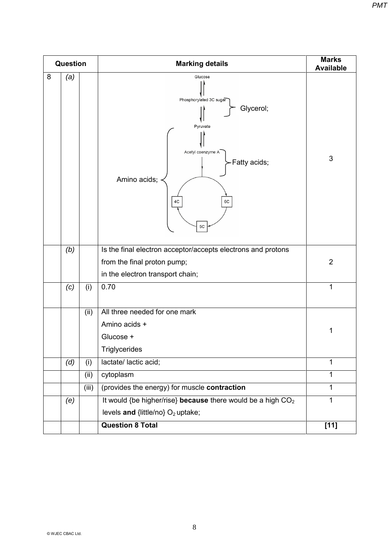| <b>Question</b> |     |       | <b>Marking details</b>                                                                                                              | <b>Marks</b><br><b>Available</b> |
|-----------------|-----|-------|-------------------------------------------------------------------------------------------------------------------------------------|----------------------------------|
| 8               | (a) |       | Glucose<br>Phosphorylated 3C sugar<br>Glycerol;<br>Pyruvate<br>Acetyl coenzyme A<br>-Fatty acids;<br>Amino acids;<br>4C<br>6C<br>5C | 3                                |
|                 | (b) |       | Is the final electron acceptor/accepts electrons and protons<br>from the final proton pump;<br>in the electron transport chain;     | $\overline{2}$                   |
|                 | (c) | (i)   | 0.70                                                                                                                                | 1                                |
|                 |     | (ii)  | All three needed for one mark<br>Amino acids +<br>Glucose +<br><b>Triglycerides</b>                                                 | 1                                |
|                 | (d) | (i)   | lactate/ lactic acid;                                                                                                               | 1                                |
|                 |     | (ii)  | cytoplasm                                                                                                                           | 1                                |
|                 |     | (iii) | (provides the energy) for muscle contraction                                                                                        | $\mathbf{1}$                     |
|                 | (e) |       | It would {be higher/rise} because there would be a high CO <sub>2</sub><br>levels and {little/no} O <sub>2</sub> uptake;            | 1                                |
|                 |     |       | <b>Question 8 Total</b>                                                                                                             | $[11]$                           |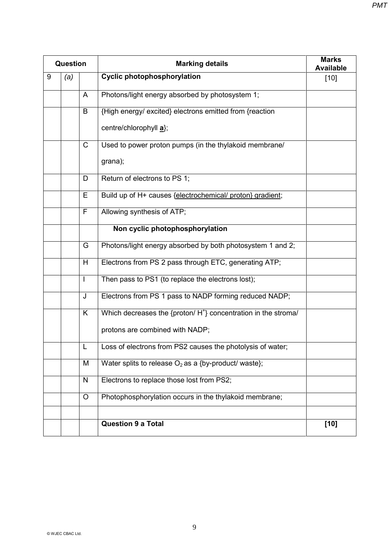| <b>Question</b> |     |              | <b>Marking details</b>                                                    | <b>Marks</b><br><b>Available</b> |
|-----------------|-----|--------------|---------------------------------------------------------------------------|----------------------------------|
| 9               | (a) |              | <b>Cyclic photophosphorylation</b>                                        | $[10]$                           |
|                 |     | A            | Photons/light energy absorbed by photosystem 1;                           |                                  |
|                 |     | B            | {High energy/ excited} electrons emitted from {reaction                   |                                  |
|                 |     |              | centre/chlorophyll a};                                                    |                                  |
|                 |     | $\mathsf{C}$ | Used to power proton pumps (in the thylakoid membrane/                    |                                  |
|                 |     |              | grana);                                                                   |                                  |
|                 |     | D            | Return of electrons to PS 1;                                              |                                  |
|                 |     | E            | Build up of H+ causes {electrochemical/ proton} gradient;                 |                                  |
|                 |     | $\mathsf{F}$ | Allowing synthesis of ATP;                                                |                                  |
|                 |     |              | Non cyclic photophosphorylation                                           |                                  |
|                 |     | G            | Photons/light energy absorbed by both photosystem 1 and 2;                |                                  |
|                 |     | H            | Electrons from PS 2 pass through ETC, generating ATP;                     |                                  |
|                 |     | $\mathbf{I}$ | Then pass to PS1 (to replace the electrons lost);                         |                                  |
|                 |     | J            | Electrons from PS 1 pass to NADP forming reduced NADP;                    |                                  |
|                 |     | K            | Which decreases the {proton/H <sup>+</sup> } concentration in the stroma/ |                                  |
|                 |     |              | protons are combined with NADP;                                           |                                  |
|                 |     | L            | Loss of electrons from PS2 causes the photolysis of water;                |                                  |
|                 |     | M            | Water splits to release $O_2$ as a {by-product/ waste};                   |                                  |
|                 |     | ${\sf N}$    | Electrons to replace those lost from PS2;                                 |                                  |
|                 |     | $\circ$      | Photophosphorylation occurs in the thylakoid membrane;                    |                                  |
|                 |     |              |                                                                           |                                  |
|                 |     |              | <b>Question 9 a Total</b>                                                 | $[10]$                           |